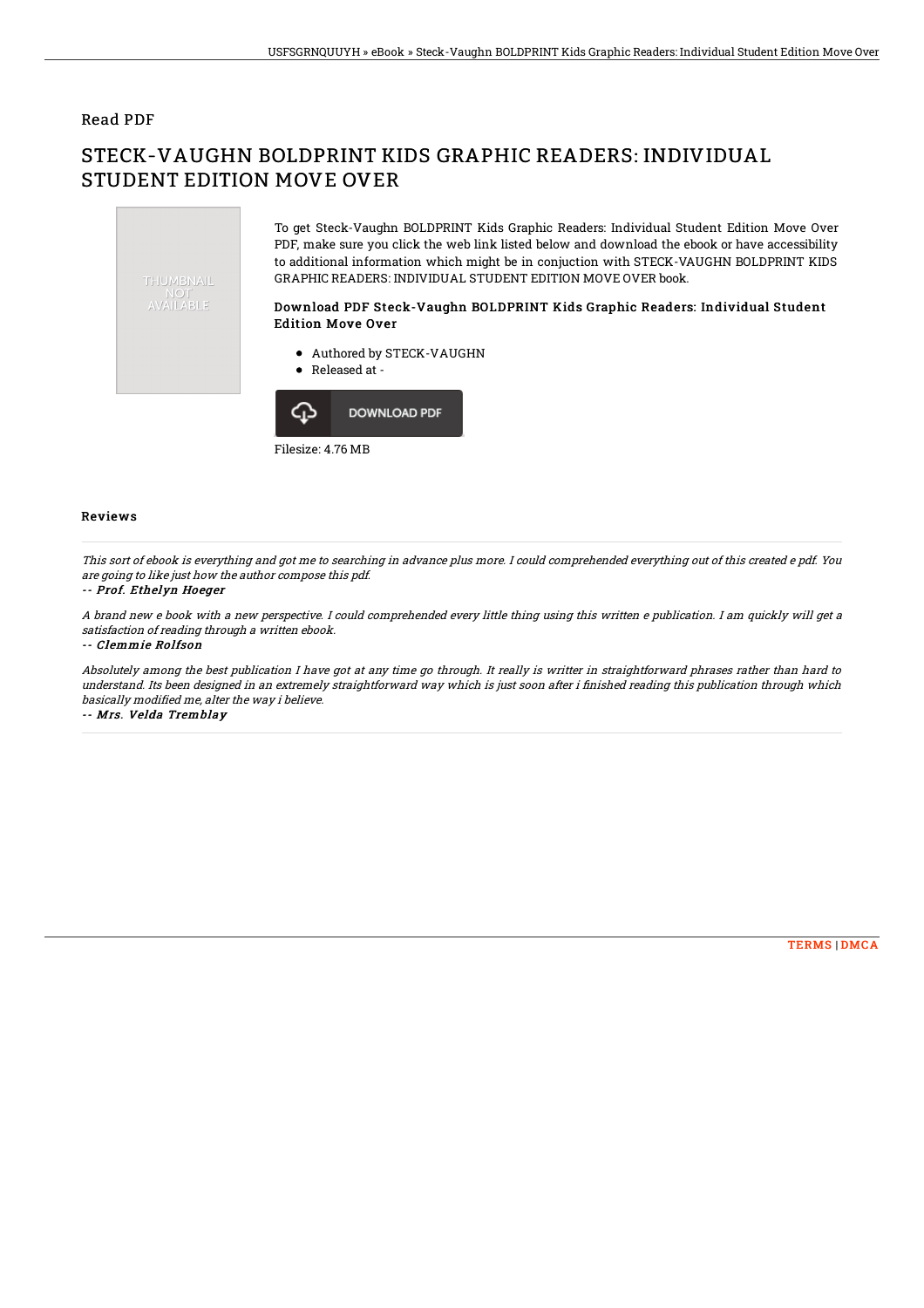### Read PDF

# STECK-VAUGHN BOLDPRINT KIDS GRAPHIC READERS: INDIVIDUAL STUDENT EDITION MOVE OVER



Filesize: 4.76 MB

#### Reviews

This sort of ebook is everything and got me to searching in advance plus more. I could comprehended everything out of this created <sup>e</sup> pdf. You are going to like just how the author compose this pdf.

#### -- Prof. Ethelyn Hoeger

A brand new <sup>e</sup> book with <sup>a</sup> new perspective. I could comprehended every little thing using this written <sup>e</sup> publication. I am quickly will get <sup>a</sup> satisfaction of reading through <sup>a</sup> written ebook.

-- Clemmie Rolfson

Absolutely among the best publication I have got at any time go through. It really is writter in straightforward phrases rather than hard to understand. Its been designed in an extremely straightforward way which is just soon after i finished reading this publication through which basically modified me, alter the way i believe.

-- Mrs. Velda Tremblay